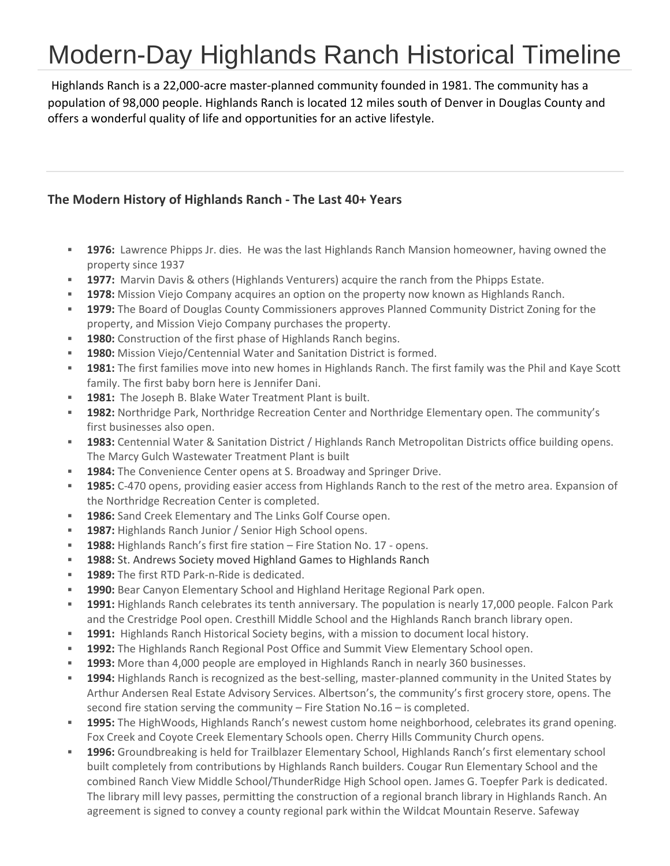# Modern-Day Highlands Ranch Historical Timeline

Highlands Ranch is a 22,000-acre master-planned community founded in 1981. The community has a population of 98,000 people. Highlands Ranch is located 12 miles south of Denver in Douglas County and offers a wonderful quality of life and opportunities for an active lifestyle.

#### **The Modern History of Highlands Ranch - The Last 40+ Years**

- **1976:** Lawrence Phipps Jr. dies. He was the last Highlands Ranch Mansion homeowner, having owned the property since 1937
- **1977:** Marvin Davis & others (Highlands Venturers) acquire the ranch from the Phipps Estate.
- 1978: Mission Viejo Company acquires an option on the property now known as Highlands Ranch.
- **1979:** The Board of Douglas County Commissioners approves Planned Community District Zoning for the property, and Mission Viejo Company purchases the property.
- **1980:** Construction of the first phase of Highlands Ranch begins.
- **1980:** Mission Viejo/Centennial Water and Sanitation District is formed.
- **1981:** The first families move into new homes in Highlands Ranch. The first family was the Phil and Kaye Scott family. The first baby born here is Jennifer Dani.
- **1981:** The Joseph B. Blake Water Treatment Plant is built.
- **1982:** Northridge Park, Northridge Recreation Center and Northridge Elementary open. The community's first businesses also open.
- **1983:** Centennial Water & Sanitation District / Highlands Ranch Metropolitan Districts office building opens. The Marcy Gulch Wastewater Treatment Plant is built
- **1984:** The Convenience Center opens at S. Broadway and Springer Drive.
- **1985:** C-470 opens, providing easier access from Highlands Ranch to the rest of the metro area. Expansion of the Northridge Recreation Center is completed.
- **1986:** Sand Creek Elementary and The Links Golf Course open.
- **1987:** Highlands Ranch Junior / Senior High School opens.
- **1988:** Highlands Ranch's first fire station Fire Station No. 17 opens.
- **1988:** St. Andrews Society moved Highland Games to Highlands Ranch
- 1989: The first RTD Park-n-Ride is dedicated.
- **1990:** Bear Canyon Elementary School and Highland Heritage Regional Park open.
- **1991:** Highlands Ranch celebrates its tenth anniversary. The population is nearly 17,000 people. Falcon Park and the Crestridge Pool open. Cresthill Middle School and the Highlands Ranch branch library open.
- **1991:** Highlands Ranch Historical Society begins, with a mission to document local history.
- **1992:** The Highlands Ranch Regional Post Office and Summit View Elementary School open.
- **1993:** More than 4,000 people are employed in Highlands Ranch in nearly 360 businesses.
- **1994:** Highlands Ranch is recognized as the best-selling, master-planned community in the United States by Arthur Andersen Real Estate Advisory Services. Albertson's, the community's first grocery store, opens. The second fire station serving the community – Fire Station No.16 – is completed.
- **1995:** The HighWoods, Highlands Ranch's newest custom home neighborhood, celebrates its grand opening. Fox Creek and Coyote Creek Elementary Schools open. Cherry Hills Community Church opens.
- **1996:** Groundbreaking is held for Trailblazer Elementary School, Highlands Ranch's first elementary school built completely from contributions by Highlands Ranch builders. Cougar Run Elementary School and the combined Ranch View Middle School/ThunderRidge High School open. James G. Toepfer Park is dedicated. The library mill levy passes, permitting the construction of a regional branch library in Highlands Ranch. An agreement is signed to convey a county regional park within the Wildcat Mountain Reserve. Safeway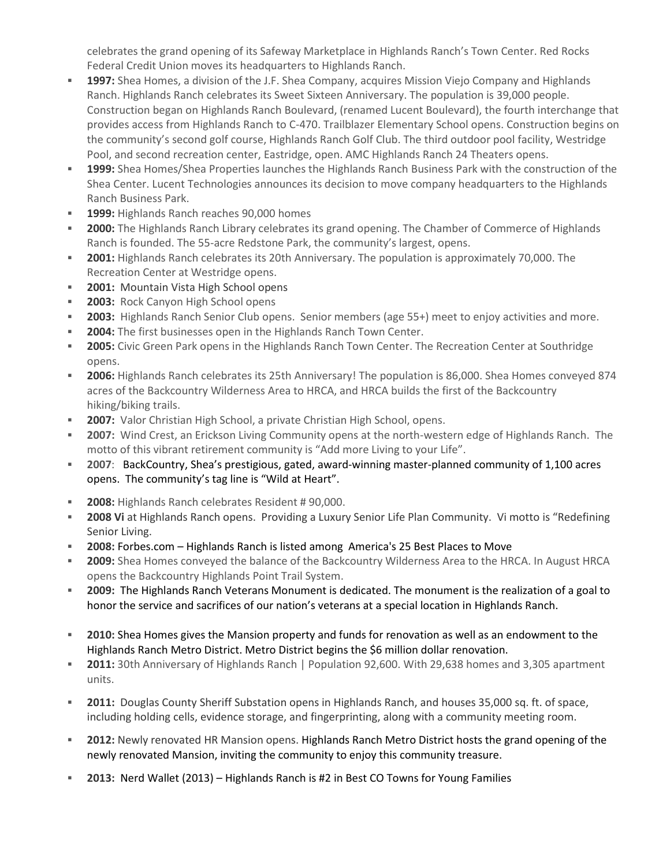celebrates the grand opening of its Safeway Marketplace in Highlands Ranch's Town Center. Red Rocks Federal Credit Union moves its headquarters to Highlands Ranch.

- **1997:** Shea Homes, a division of the J.F. Shea Company, acquires Mission Viejo Company and Highlands Ranch. Highlands Ranch celebrates its Sweet Sixteen Anniversary. The population is 39,000 people. Construction began on Highlands Ranch Boulevard, (renamed Lucent Boulevard), the fourth interchange that provides access from Highlands Ranch to C-470. Trailblazer Elementary School opens. Construction begins on the community's second golf course, Highlands Ranch Golf Club. The third outdoor pool facility, Westridge Pool, and second recreation center, Eastridge, open. AMC Highlands Ranch 24 Theaters opens.
- **1999:** Shea Homes/Shea Properties launches the Highlands Ranch Business Park with the construction of the Shea Center. Lucent Technologies announces its decision to move company headquarters to the Highlands Ranch Business Park.
- 1999: Highlands Ranch reaches 90,000 homes
- **2000:** The Highlands Ranch Library celebrates its grand opening. The Chamber of Commerce of Highlands Ranch is founded. The 55-acre Redstone Park, the community's largest, opens.
- **2001:** Highlands Ranch celebrates its 20th Anniversary. The population is approximately 70,000. The Recreation Center at Westridge opens.
- **2001:** Mountain Vista High School opens
- **2003: Rock Canyon High School opens**
- **2003:** Highlands Ranch Senior Club opens. Senior members (age 55+) meet to enjoy activities and more.
- **2004:** The first businesses open in the Highlands Ranch Town Center.
- **2005:** Civic Green Park opens in the Highlands Ranch Town Center. The Recreation Center at Southridge opens.
- **2006:** Highlands Ranch celebrates its 25th Anniversary! The population is 86,000. Shea Homes conveyed 874 acres of the Backcountry Wilderness Area to HRCA, and HRCA builds the first of the Backcountry hiking/biking trails.
- **2007:** Valor Christian High School, a private Christian High School, opens.
- **2007:** Wind Crest, an Erickson Living Community opens at the north-western edge of Highlands Ranch. The motto of this vibrant retirement community is "Add more Living to your Life".
- **2007**: BackCountry, Shea's prestigious, gated, award-winning master-planned community of 1,100 acres opens. The community's tag line is "Wild at Heart".
- **2008:** Highlands Ranch celebrates Resident # 90,000.
- **2008 Vi** at Highlands Ranch opens. Providing a Luxury Senior Life Plan Community. Vi motto is "Redefining Senior Living.
- **2008:** Forbes.com Highlands Ranch is listed among [America's 25 Best Places to Move](http://www.forbes.com/2009/07/07/relocate-relocation-cities-lifestyle-real-estate-affordable-moving_slide_21.html)
- **2009:** Shea Homes conveyed the balance of the Backcountry Wilderness Area to the HRCA. In August HRCA opens the Backcountry Highlands Point Trail System.
- **2009:** The Highlands Ranch Veterans Monument is dedicated. The monument is the realization of a goal to honor the service and sacrifices of our nation's veterans at a special location in Highlands Ranch.
- **EXECT** 2010: Shea Homes gives the Mansion property and funds for renovation as well as an endowment to the Highlands Ranch Metro District. Metro District begins the \$6 million dollar renovation.
- **2011:** 30th Anniversary of Highlands Ranch | Population 92,600. With 29,638 homes and 3,305 apartment units.
- **2011:** Douglas County Sheriff Substation opens in Highlands Ranch, and houses 35,000 sq. ft. of space, including holding cells, evidence storage, and fingerprinting, along with a community meeting room.
- **2012:** Newly renovated HR Mansion opens. Highlands Ranch Metro District hosts the grand opening of the newly renovated Mansion, inviting the community to enjoy this community treasure.
- **2013:** Nerd Wallet (2013) Highlands Ranch is #2 i[n Best CO Towns for Young Families](http://www.nerdwallet.com/blog/2013/best-towns-colorado-young-families/)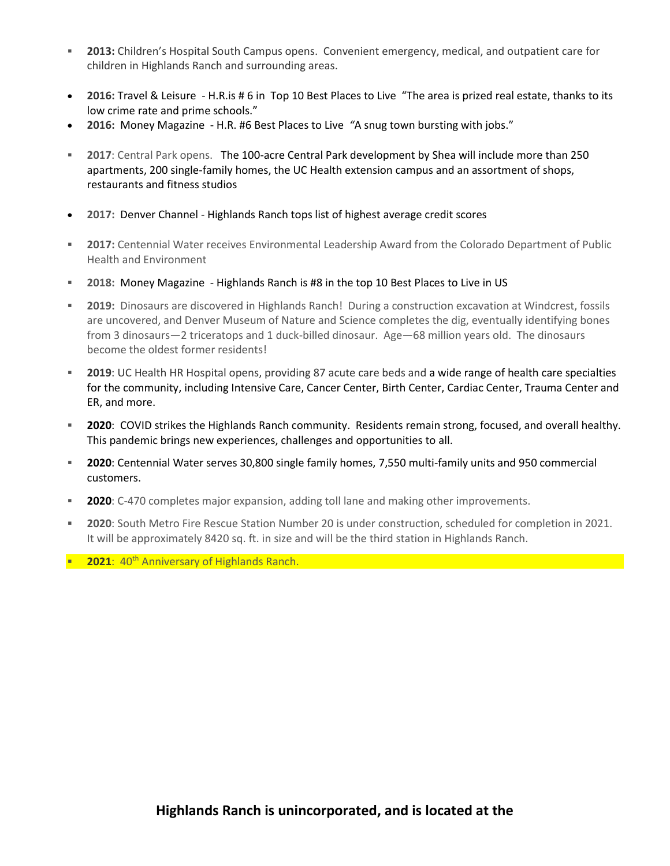- **2013:** Children's Hospital South Campus opens. Convenient emergency, medical, and outpatient care for children in Highlands Ranch and surrounding areas.
- **2016:** Travel & Leisure [H.R.is # 6 in Top 10 Best Places to Live](https://www.travelandleisure.com/trip-ideas/city-vacations/the-best-small-cities-in-america) "The area is prized real estate, thanks to its low crime rate and prime schools."
- **2016:** Money Magazine [H.R. #6 Best Places to Live](https://money.com/collection-post/highlands-ranch-colorado/) *"*A snug town bursting with jobs."
- **2017**: Central Park opens. The 100-acre Central Park development by Shea will include more than 250 apartments, 200 single-family homes, the UC Health extension campus and an assortment of shops, restaurants and fitness studios
- **2017:** Denver Channel [Highlands Ranch tops list of highest average credit scores](http://www.thedenverchannel.com/news/local-news/highlands-ranch-tops-list-of-highest-average-credit-scores-among-midsize-cities-in-america)
- **2017:** Centennial Water receives Environmental Leadership Award from the Colorado Department of Public Health and Environment
- **2018:** Money Magazine Highlands Ranch is #8 in the top 1[0 Best Places to Live](http://money.com/money/longform/best-places-to-live-united-states-2018/) in US
- **2019:** Dinosaurs are discovered in Highlands Ranch! During a construction excavation at Windcrest, fossils are uncovered, and Denver Museum of Nature and Science completes the dig, eventually identifying bones from 3 dinosaurs—2 triceratops and 1 duck-billed dinosaur. Age—68 million years old. The dinosaurs become the oldest former residents!
- 2019: UC Health HR Hospital opens, providing 87 acute care beds and a wide range of health care specialties for the community, including Intensive Care, Cancer Center, Birth Center, Cardiac Center, Trauma Center and ER, and more.
- **2020**: COVID strikes the Highlands Ranch community. Residents remain strong, focused, and overall healthy. This pandemic brings new experiences, challenges and opportunities to all.
- **2020**: Centennial Water serves 30,800 single family homes, 7,550 multi-family units and 950 commercial customers.
- **2020**: C-470 completes major expansion, adding toll lane and making other improvements.
- **2020**: South Metro Fire Rescue Station Number 20 is under construction, scheduled for completion in 2021. It will be approximately 8420 sq. ft. in size and will be the third station in Highlands Ranch.
- **2021**: 40<sup>th</sup> Anniversary of Highlands Ranch.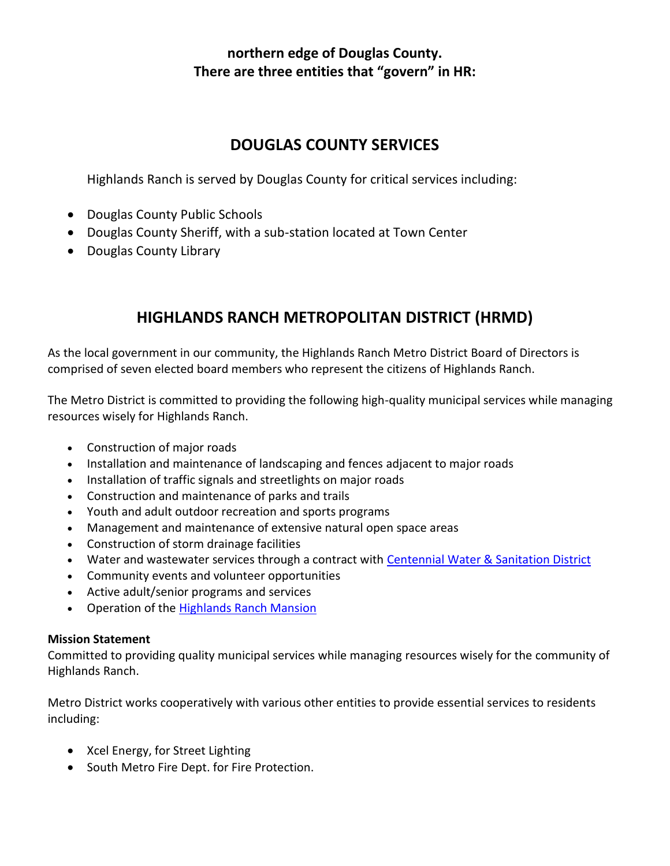**northern edge of Douglas County. There are three entities that "govern" in HR:**

### **DOUGLAS COUNTY SERVICES**

Highlands Ranch is served by Douglas County for critical services including:

- Douglas County Public Schools
- Douglas County Sheriff, with a sub-station located at Town Center
- Douglas County Library

## **HIGHLANDS RANCH METROPOLITAN DISTRICT (HRMD)**

As the local government in our community, the Highlands Ranch Metro District Board of Directors is comprised of seven elected board members who represent the citizens of Highlands Ranch.

The Metro District is committed to providing the following high-quality municipal services while managing resources wisely for Highlands Ranch.

- Construction of major roads
- Installation and maintenance of landscaping and fences adjacent to major roads
- Installation of traffic signals and streetlights on major roads
- Construction and maintenance of parks and trails
- Youth and adult outdoor recreation and sports programs
- Management and maintenance of extensive natural open space areas
- Construction of storm drainage facilities
- Water and wastewater services through a contract with [Centennial Water & Sanitation District](https://www.highlandsranch.org/?splash=http%3a%2f%2fcentennialwater.org&____isexternal=true)
- Community events and volunteer opportunities
- Active adult/senior programs and services
- Operation of the [Highlands Ranch Mansion](https://www.highlandsranch.org/?splash=http%3a%2f%2fhighlandsranchmansion.com&____isexternal=true)

#### **Mission Statement**

Committed to providing quality municipal services while managing resources wisely for the community of Highlands Ranch.

Metro District works cooperatively with various other entities to provide essential services to residents including:

- Xcel Energy, for Street Lighting
- South Metro Fire Dept. for Fire Protection.